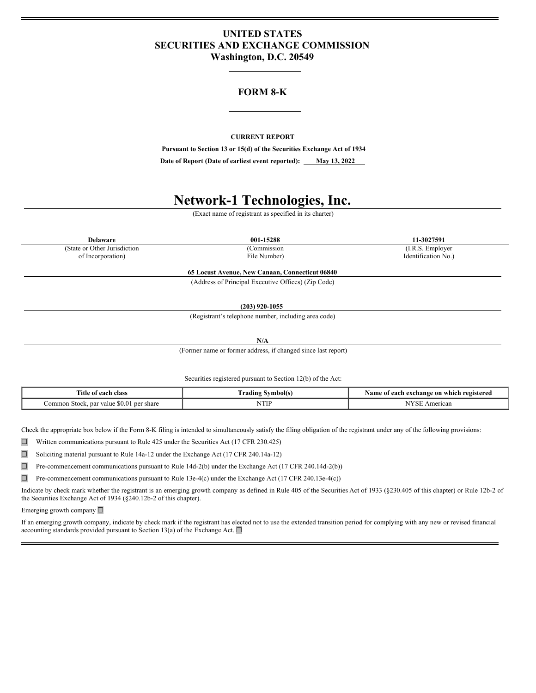# **UNITED STATES SECURITIES AND EXCHANGE COMMISSION Washington, D.C. 20549**

# **FORM 8-K**

## **CURRENT REPORT**

**Pursuant to Section 13 or 15(d) of the Securities Exchange Act of 1934**

**Date** of Report (Date of earliest event reported): <u>May 13, 2022</u>

# **Network-1 Technologies, Inc.**

(Exact name of registrant as specified in its charter)

(State or Other Jurisdiction (Commission (I.R.S. Employer of Incorporation) (I.R.S. Employer of Incorporation)

**Delaware 001-15288 11-3027591** Identification No.)

> **65 Locust Avenue, New Canaan, Connecticut 06840** (Address of Principal Executive Offices) (Zip Code)

> > **(203) 920-1055**

(Registrant's telephone number, including area code)

**N/A**

(Former name or former address, if changed since last report)

Securities registered pursuant to Section 12(b) of the Act:

| $\sim$<br>l'itle of<br>class<br>eact                                             | ⁄vmbol(s<br>radıns                                                           | registerea<br>ı which<br>: on<br>exchange<br>. vame |
|----------------------------------------------------------------------------------|------------------------------------------------------------------------------|-----------------------------------------------------|
| ∵share<br>.orr<br>ner<br>-par value<br>- 30 M<br>stock<br>ımor<br>$\cdot$ .<br>. | <b>TTI</b><br><b>IATH</b><br>the contract of the contract of the contract of | NTZ<br><sup>*</sup> rican<br>                       |

Check the appropriate box below if the Form 8-K filing is intended to simultaneously satisfy the filing obligation of the registrant under any of the following provisions:

☐ Written communications pursuant to Rule 425 under the Securities Act (17 CFR 230.425)

☐ Soliciting material pursuant to Rule 14a-12 under the Exchange Act (17 CFR 240.14a-12)

☐ Pre-commencement communications pursuant to Rule 14d-2(b) under the Exchange Act (17 CFR 240.14d-2(b))

 $\Box$  Pre-commencement communications pursuant to Rule 13e-4(c) under the Exchange Act (17 CFR 240.13e-4(c))

Indicate by check mark whether the registrant is an emerging growth company as defined in Rule 405 of the Securities Act of 1933 (§230.405 of this chapter) or Rule 12b-2 of the Securities Exchange Act of 1934 (§240.12b-2 of this chapter).

Emerging growth company ☐

If an emerging growth company, indicate by check mark if the registrant has elected not to use the extended transition period for complying with any new or revised financial accounting standards provided pursuant to Section 13(a) of the Exchange Act.  $\square$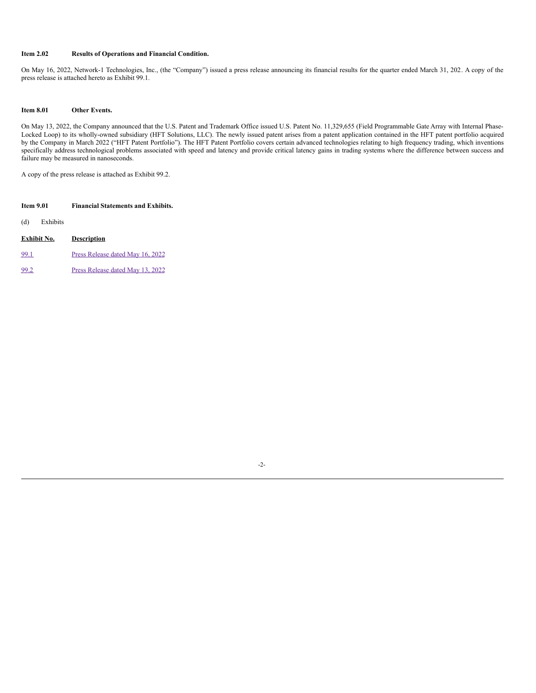## **Item 2.02 Results of Operations and Financial Condition.**

On May 16, 2022, Network-1 Technologies, Inc., (the "Company") issued a press release announcing its financial results for the quarter ended March 31, 202. A copy of the press release is attached hereto as Exhibit 99.1.

#### **Item 8.01 Other Events.**

On May 13, 2022, the Company announced that the U.S. Patent and Trademark Office issued U.S. Patent No. 11,329,655 (Field Programmable Gate Array with Internal Phase-Locked Loop) to its wholly-owned subsidiary (HFT Solutions, LLC). The newly issued patent arises from a patent application contained in the HFT patent portfolio acquired by the Company in March 2022 ("HFT Patent Portfolio"). The HFT Patent Portfolio covers certain advanced technologies relating to high frequency trading, which inventions specifically address technological problems associated with speed and latency and provide critical latency gains in trading systems where the difference between success and failure may be measured in nanoseconds.

A copy of the press release is attached as Exhibit 99.2.

| Item 9.01       | <b>Financial Statements and Exhibits.</b> |  |
|-----------------|-------------------------------------------|--|
| (d)<br>Exhibits |                                           |  |
| Exhibit No.     | <b>Description</b>                        |  |
| 99.1            | Press Release dated May 16, 2022          |  |
| 99.2            | Press Release dated May 13, 2022          |  |

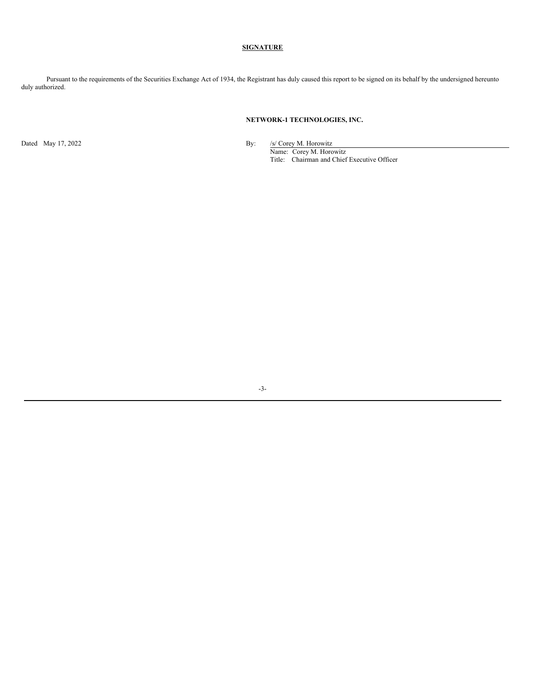# **SIGNATURE**

Pursuant to the requirements of the Securities Exchange Act of 1934, the Registrant has duly caused this report to be signed on its behalf by the undersigned hereunto duly authorized.

## **NETWORK-1 TECHNOLOGIES, INC.**

Dated May 17, 2022 By: /s/ Corey M. Horowitz Name: Corey M. Horowitz

Title: Chairman and Chief Executive Officer

-3-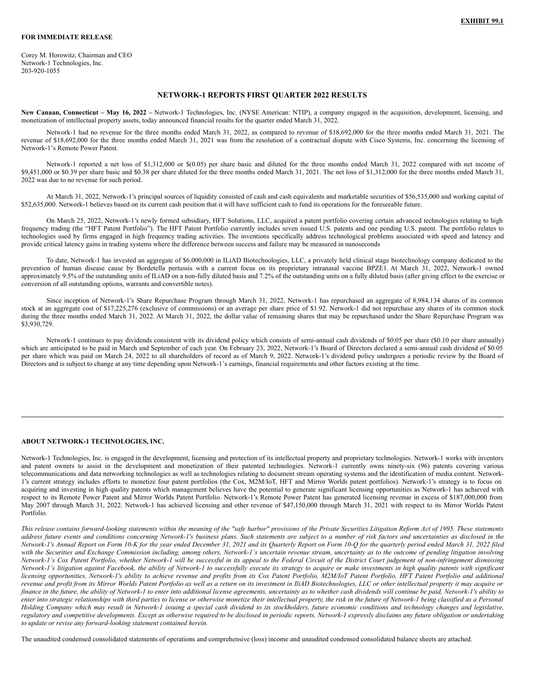#### **FOR IMMEDIATE RELEASE**

Corey M. Horowitz, Chairman and CEO Network-1 Technologies, Inc. 203-920-1055

## **NETWORK-1 REPORTS FIRST QUARTER 2022 RESULTS**

**New Canaan, Connecticut – May 16, 2022 –** Network-1 Technologies, Inc. (NYSE American: NTIP), a company engaged in the acquisition, development, licensing, and monetization of intellectual property assets, today announced financial results for the quarter ended March 31, 2022.

Network-1 had no revenue for the three months ended March 31, 2022, as compared to revenue of \$18,692,000 for the three months ended March 31, 2021. The revenue of \$18,692,000 for the three months ended March 31, 2021 was from the resolution of a contractual dispute with Cisco Systems, Inc. concerning the licensing of Network-1's Remote Power Patent.

Network-1 reported a net loss of \$1,312,000 or \$(0.05) per share basic and diluted for the three months ended March 31, 2022 compared with net income of \$9,451,000 or \$0.39 per share basic and \$0.38 per share diluted for the three months ended March 31, 2021. The net loss of \$1,312,000 for the three months ended March 31, 2022 was due to no revenue for such period.

At March 31, 2022, Network-1's principal sources of liquidity consisted of cash and cash equivalents and marketable securities of \$56,535,000 and working capital of \$52,635,000. Network-1 believes based on its current cash position that it will have sufficient cash to fund its operations for the foreseeable future.

On March 25, 2022, Network-1's newly formed subsidiary, HFT Solutions, LLC, acquired a patent portfolio covering certain advanced technologies relating to high frequency trading (the "HFT Patent Portfolio"). The HFT Patent Portfolio currently includes seven issued U.S. patents and one pending U.S. patent. The portfolio relates to technologies used by firms engaged in high frequency trading activities. The inventions specifically address technological problems associated with speed and latency and provide critical latency gains in trading systems where the difference between success and failure may be measured in nanoseconds

To date, Network-1 has invested an aggregate of \$6,000,000 in ILiAD Biotechnologies, LLC, a privately held clinical stage biotechnology company dedicated to the prevention of human disease cause by Bordetella pertussis with a current focus on its proprietary intranasal vaccine BPZE1. At March 31, 2022, Network-1 owned approximately 9.5% of the outstanding units of ILiAD on a non-fully diluted basis and 7.2% of the outstanding units on a fully diluted basis (after giving effect to the exercise or conversion of all outstanding options, warrants and convertible notes).

Since inception of Network-1's Share Repurchase Program through March 31, 2022, Network-1 has repurchased an aggregate of 8,984,134 shares of its common stock at an aggregate cost of \$17,225,276 (exclusive of commissions) or an average per share price of \$1.92. Network-1 did not repurchase any shares of its common stock during the three months ended March 31, 2022. At March 31, 2022, the dollar value of remaining shares that may be repurchased under the Share Repurchase Program was \$3,930,729.

Network-1 continues to pay dividends consistent with its dividend policy which consists of semi-annual cash dividends of \$0.05 per share (\$0.10 per share annually) which are anticipated to be paid in March and September of each year. On February 23, 2022, Network-1's Board of Directors declared a semi-annual cash dividend of \$0.05 per share which was paid on March 24, 2022 to all shareholders of record as of March 9, 2022. Network-1's dividend policy undergoes a periodic review by the Board of Directors and is subject to change at any time depending upon Network-1's earnings, financial requirements and other factors existing at the time.

#### **ABOUT NETWORK-1 TECHNOLOGIES, INC.**

Network-1 Technologies, Inc. is engaged in the development, licensing and protection of its intellectual property and proprietary technologies. Network-1 works with inventors and patent owners to assist in the development and monetization of their patented technologies. Network-1 currently owns ninety-six (96) patents covering various telecommunications and data networking technologies as well as technologies relating to document stream operating systems and the identification of media content. Network-1's current strategy includes efforts to monetize four patent portfolios (the Cox, M2M/IoT, HFT and Mirror Worlds patent portfolios). Network-1's strategy is to focus on acquiring and investing in high quality patents which management believes have the potential to generate significant licensing opportunities as Network-1 has achieved with respect to its Remote Power Patent and Mirror Worlds Patent Portfolio. Network-1's Remote Power Patent has generated licensing revenue in excess of \$187,000,000 from May 2007 through March 31, 2022. Network-1 has achieved licensing and other revenue of \$47,150,000 through March 31, 2021 with respect to its Mirror Worlds Patent Portfolio.

This release contains forward-looking statements within the meaning of the "safe harbor" provisions of the Private Securities Litigation Reform Act of 1995. These statements address future events and conditions concerning Network-1's business plans. Such statements are subject to a number of risk factors and uncertainties as disclosed in the Network-1's Annual Report on Form 10-K for the year ended December 31, 2021 and its Quarterly Report on Form 10-Q for the quarterly period ended March 31, 2022 filed with the Securities and Exchange Commission including, among others, Network-1's uncertain revenue stream, uncertainty as to the outcome of pending litigation involving Network-1's Cox Patent Portfolio, whether Network-1 will be successful in its appeal to the Federal Circuit of the District Court judgement of non-infringement dismissing Network-1's litigation against Facebook, the ability of Network-1 to successfully execute its strategy to acquire or make investments in high quality patents with significant licensing opportunities, Network-1's ability to achieve revenue and profits from its Cox Patent Portfolio, M2M/IoT Patent Portfolio, HFT Patent Portfolio and additional revenue and profit from its Mirror Worlds Patent Portfolio as well as a return on its investment in IliAD Biotechnologies, LLC or other intellectual property it may acquire or finance in the future, the ability of Network-1 to enter into additional license agreements, uncertainty as to whether cash dividends will continue be paid, Network-1's ability to enter into strategic relationships with third parties to license or otherwise monetize their intellectual property, the risk in the future of Network-1 being classified as a Personal Holding Company which may result in Network-1 issuing a special cash dividend to its stockholders, future economic conditions and technology changes and legislative, regulatory and competitive developments. Except as otherwise required to be disclosed in periodic reports, Network-1 expressly disclaims any future obligation or undertaking *to update or revise any forward-looking statement contained herein.*

The unaudited condensed consolidated statements of operations and comprehensive (loss) income and unaudited condensed consolidated balance sheets are attached.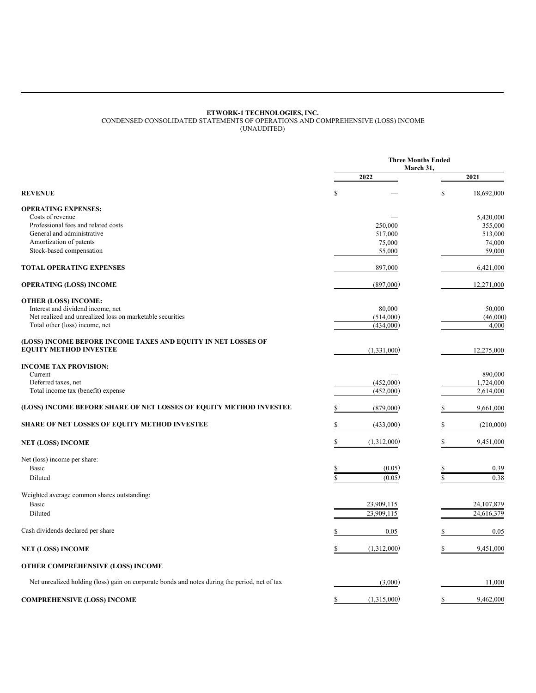#### **ETWORK-1 TECHNOLOGIES, INC.**

<span id="page-4-0"></span>CONDENSED CONSOLIDATED STATEMENTS OF OPERATIONS AND COMPREHENSIVE (LOSS) INCOME (UNAUDITED)

**Three Months Ended March 31, 2022 2021 REVENUE**  $\qquad \qquad \mathbb{S} \qquad \qquad - \qquad \qquad \mathbb{S} \qquad \qquad 18,692,000$ **OPERATING EXPENSES:**  $\frac{3}{420,000}$  Costs of revenue  $\frac{5,420,000}{2}$ Professional fees and related costs 250,000 355,000 355,000 355,000 355,000 355,000 355,000 355,000 355,000 355,000 355,000 355,000 355,000 355,000 355,000 355,000 355,000 355,000 355,000 355,000 355,000 355,000 355,000 35 General and administrative 517,000 513,000 513,000 513,000 Amortization of patents 75,000 74,000 Stock-based compensation 59,000 59,000 59,000 59,000 59,000 59,000 59,000 59,000 59,000 59,000 59,000 59,000 59,000 59,000 59,000 59,000 59,000 59,000 59,000 59,000 59,000 59,000 59,000 59,000 59,000 59,000 59,000 59,000 5 **TOTAL OPERATING EXPENSES** 897,000 6,421,000 6,421,000 **OPERATING (LOSS) INCOME** 12,271,000 **OTHER (LOSS) INCOME:** Interest and dividend income, net 80,000 50,000 50,000 50,000 50,000 50,000 50,000 50,000 50,000 50,000 50,000 Net realized and unrealized loss on marketable securities Total other (loss) income, net (434,000) 4,000 **(LOSS) INCOME BEFORE INCOME TAXES AND EQUITY IN NET LOSSES OF EQUITY METHOD INVESTEE** 12,275,000 12,275,000 **INCOME TAX PROVISION:** Current — 890,000 Deferred taxes, net 1,724,000 1,724,000 1,724,000 1,724,000 1,724,000 1,724,000 1,724,000 1,724,000 1,724,000 1,724,000 1,724,000 1,724,000 1,724,000 1,724,000 1,724,000 1,724,000 1,724,000 1,724,000 1,724,000 1,724,000 1, Total income tax (benefit) expense 2,614,000 2,614,000 2,614,000 **(LOSS) INCOME BEFORE SHARE OF NET LOSSES OF EQUITY METHOD INVESTEE** \$ (879,000) \$ 9,661,000 **SHARE OF NET LOSSES OF EQUITY METHOD INVESTEE** \$ (433,000) \$ (210,000) **NET (LOSS) INCOME** \$ (1,312,000) \$ 9,451,000 Net (loss) income per share: Basic  $\qquad \qquad \text{B}$  (0.05)  $\qquad \qquad \text{S}$  (0.05)  $\qquad \qquad \text{S}$  (0.05) Diluted  $\frac{1}{\sqrt{3}}$  (0.05)  $\frac{1}{\sqrt{3}}$  (0.05)  $\frac{1}{\sqrt{3}}$  (0.05)  $\frac{1}{\sqrt{3}}$  (0.05) Weighted average common shares outstanding: Basic 23,909,115 24,107,879 Diluted 23,909,115 24,616,379 Cash dividends declared per share 0.05 \$ 0.05 \$ 0.05 \$ 0.05 **NET (LOSS) INCOME** \$ (1,312,000) \$ 9,451,000 **OTHER COMPREHENSIVE (LOSS) INCOME** Net unrealized holding (loss) gain on corporate bonds and notes during the period, net of tax (3,000) 11,000 **COMPREHENSIVE (LOSS) INCOME** \$ (1,315,000) \$ 9,462,000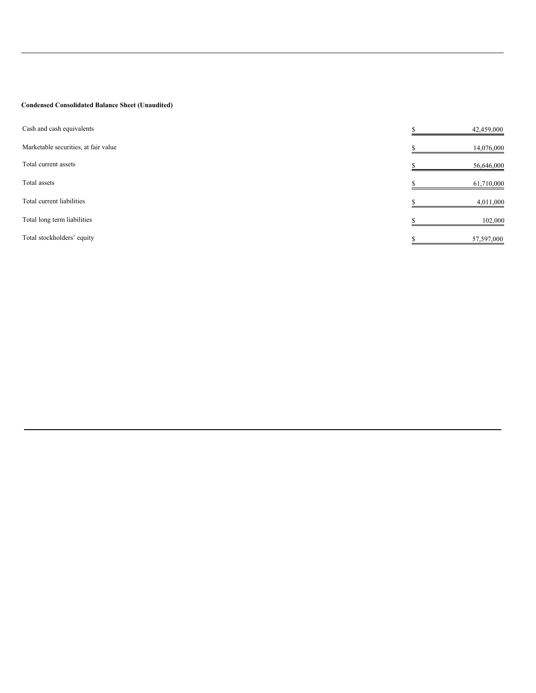# **Condensed Consolidated Balance Sheet (Unaudited)**

| Cash and cash equivalents            | 42,459,000 |         |
|--------------------------------------|------------|---------|
| Marketable securities, at fair value | 14,076,000 |         |
| Total current assets                 | 56,646,000 |         |
| Total assets                         | 61,710,000 |         |
| Total current liabilities            | 4,011,000  |         |
| Total long term liabilities          |            | 102,000 |
| Total stockholders' equity           | 57,597,000 |         |